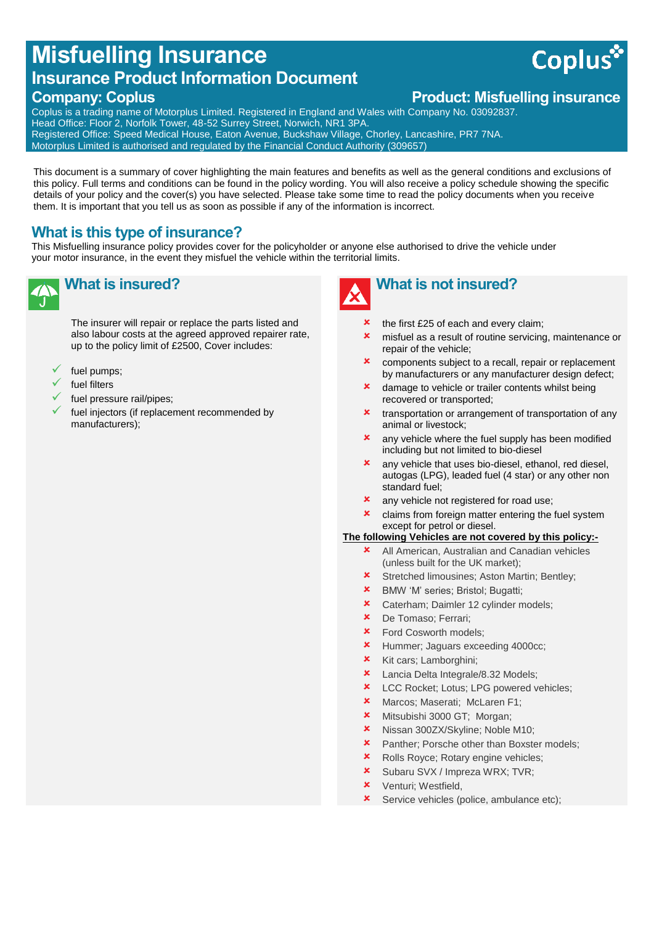## **Misfuelling Insurance Insurance Product Information Document**

**Company: Coplus Company: Coplus Product: Misfuelling insurance** 

**Coplus** 

Coplus is a trading name of Motorplus Limited. Registered in England and Wales with Company No. 03092837. Head Office: Floor 2, Norfolk Tower, 48-52 Surrey Street, Norwich, NR1 3PA. Registered Office: Speed Medical House, Eaton Avenue, Buckshaw Village, Chorley, Lancashire, PR7 7NA. Motorplus Limited is authorised and regulated by the Financial Conduct Authority (309657)

This document is a summary of cover highlighting the main features and benefits as well as the general conditions and exclusions of this policy. Full terms and conditions can be found in the policy wording. You will also receive a policy schedule showing the specific details of your policy and the cover(s) you have selected. Please take some time to read the policy documents when you receive them. It is important that you tell us as soon as possible if any of the information is incorrect.

#### **What is this type of insurance?**

This Misfuelling insurance policy provides cover for the policyholder or anyone else authorised to drive the vehicle under your motor insurance, in the event they misfuel the vehicle within the territorial limits.

# **What is insured?**

The insurer will repair or replace the parts listed and also labour costs at the agreed approved repairer rate, up to the policy limit of £2500, Cover includes:

- fuel pumps;
- fuel filters
- fuel pressure rail/pipes;
- fuel injectors (if replacement recommended by manufacturers);



## **What is not insured?**

- the first £25 of each and every claim;
- misfuel as a result of routine servicing, maintenance or repair of the vehicle;
- **x** components subject to a recall, repair or replacement by manufacturers or any manufacturer design defect;
- **x** damage to vehicle or trailer contents whilst being recovered or transported;
- **x** transportation or arrangement of transportation of any animal or livestock;
- any vehicle where the fuel supply has been modified including but not limited to bio-diesel
- any vehicle that uses bio-diesel, ethanol, red diesel, autogas (LPG), leaded fuel (4 star) or any other non standard fuel;
- **x** any vehicle not registered for road use;
- **x** claims from foreign matter entering the fuel system except for petrol or diesel.

#### **The following Vehicles are not covered by this policy:-**

- **\*** All American, Australian and Canadian vehicles (unless built for the UK market);
- **\*** Stretched limousines; Aston Martin; Bentley;
- BMW 'M' series; Bristol; Bugatti;
- **\*** Caterham: Daimler 12 cylinder models:
- De Tomaso; Ferrari;
- Ford Cosworth models;
- Hummer; Jaguars exceeding 4000cc;
- **\*** Kit cars; Lamborghini;
- **\*** Lancia Delta Integrale/8.32 Models;
- **\*** LCC Rocket; Lotus; LPG powered vehicles;
- Marcos; Maserati; McLaren F1;
- **\*** Mitsubishi 3000 GT; Morgan;
- **\*** Nissan 300ZX/Skyline; Noble M10;
- **\*** Panther; Porsche other than Boxster models;
- **\*** Rolls Royce; Rotary engine vehicles;
- **x** Subaru SVX / Impreza WRX: TVR:
- Venturi; Westfield,
- **x** Service vehicles (police, ambulance etc);